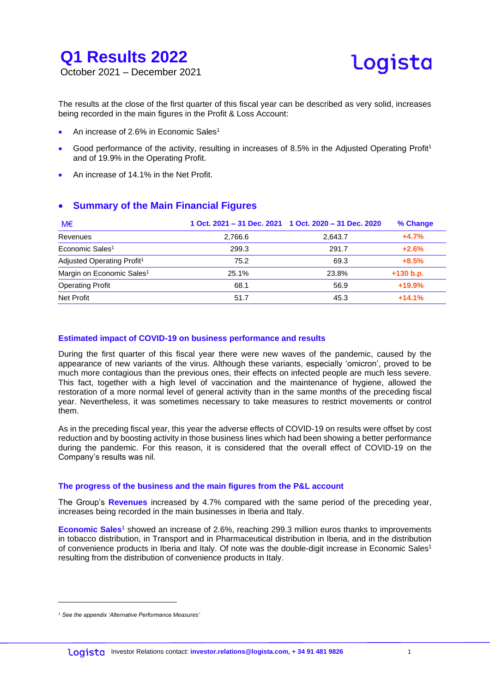



The results at the close of the first quarter of this fiscal year can be described as very solid, increases being recorded in the main figures in the Profit & Loss Account:

- An increase of 2.6% in Economic Sales<sup>1</sup>
- Good performance of the activity, resulting in increases of 8.5% in the Adjusted Operating Profit<sup>1</sup> and of 19.9% in the Operating Profit.
- An increase of 14.1% in the Net Profit.

#### **Summary of the Main Financial Figures**

| M€                                     |         | 1 Oct. 2021 – 31 Dec. 2021 1 Oct. 2020 – 31 Dec. 2020 | % Change    |
|----------------------------------------|---------|-------------------------------------------------------|-------------|
| Revenues                               | 2,766.6 | 2.643.7                                               | $+4.7%$     |
| Economic Sales <sup>1</sup>            | 299.3   | 291.7                                                 | $+2.6%$     |
| Adjusted Operating Profit <sup>1</sup> | 75.2    | 69.3                                                  | $+8.5%$     |
| Margin on Economic Sales <sup>1</sup>  | 25.1%   | 23.8%                                                 | $+130 b.p.$ |
| <b>Operating Profit</b>                | 68.1    | 56.9                                                  | $+19.9%$    |
| Net Profit                             | 51.7    | 45.3                                                  | $+14.1%$    |

#### **Estimated impact of COVID-19 on business performance and results**

During the first quarter of this fiscal year there were new waves of the pandemic, caused by the appearance of new variants of the virus. Although these variants, especially 'omicron', proved to be much more contagious than the previous ones, their effects on infected people are much less severe. This fact, together with a high level of vaccination and the maintenance of hygiene, allowed the restoration of a more normal level of general activity than in the same months of the preceding fiscal year. Nevertheless, it was sometimes necessary to take measures to restrict movements or control them.

As in the preceding fiscal year, this year the adverse effects of COVID-19 on results were offset by cost reduction and by boosting activity in those business lines which had been showing a better performance during the pandemic. For this reason, it is considered that the overall effect of COVID-19 on the Company's results was nil.

#### **The progress of the business and the main figures from the P&L account**

The Group's **Revenues** increased by 4.7% compared with the same period of the preceding year, increases being recorded in the main businesses in Iberia and Italy.

**Economic Sales<sup>1</sup>** showed an increase of 2.6%, reaching 299.3 million euros thanks to improvements in tobacco distribution, in Transport and in Pharmaceutical distribution in Iberia, and in the distribution of convenience products in Iberia and Italy. Of note was the double-digit increase in Economic Sales<sup>1</sup> resulting from the distribution of convenience products in Italy.

1

*<sup>1</sup> See the appendix 'Alternative Performance Measures'*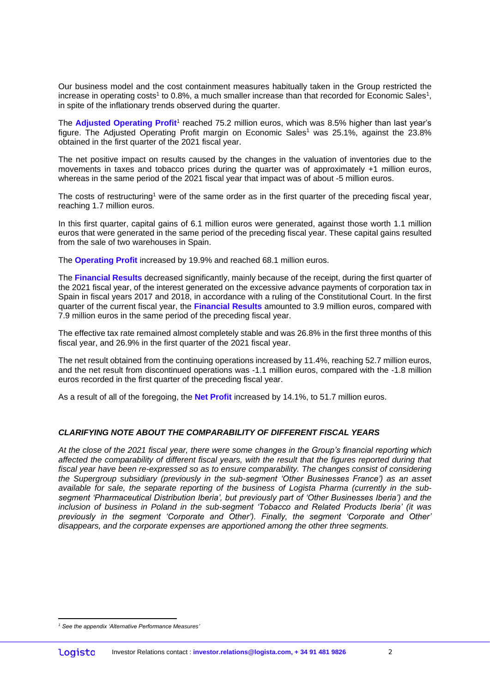Our business model and the cost containment measures habitually taken in the Group restricted the increase in operating costs<sup>1</sup> to 0.8%, a much smaller increase than that recorded for Economic Sales<sup>1</sup>, in spite of the inflationary trends observed during the quarter.

The Adjusted Operating Profit<sup>1</sup> reached 75.2 million euros, which was 8.5% higher than last year's figure. The Adjusted Operating Profit margin on Economic Sales<sup>1</sup> was 25.1%, against the 23.8% obtained in the first quarter of the 2021 fiscal year.

The net positive impact on results caused by the changes in the valuation of inventories due to the movements in taxes and tobacco prices during the quarter was of approximately +1 million euros, whereas in the same period of the 2021 fiscal year that impact was of about -5 million euros.

The costs of restructuring<sup>1</sup> were of the same order as in the first quarter of the preceding fiscal year, reaching 1.7 million euros.

In this first quarter, capital gains of 6.1 million euros were generated, against those worth 1.1 million euros that were generated in the same period of the preceding fiscal year. These capital gains resulted from the sale of two warehouses in Spain.

The **Operating Profit** increased by 19.9% and reached 68.1 million euros.

The **Financial Results** decreased significantly, mainly because of the receipt, during the first quarter of the 2021 fiscal year, of the interest generated on the excessive advance payments of corporation tax in Spain in fiscal years 2017 and 2018, in accordance with a ruling of the Constitutional Court. In the first quarter of the current fiscal year, the **Financial Results** amounted to 3.9 million euros, compared with 7.9 million euros in the same period of the preceding fiscal year.

The effective tax rate remained almost completely stable and was 26.8% in the first three months of this fiscal year, and 26.9% in the first quarter of the 2021 fiscal year.

The net result obtained from the continuing operations increased by 11.4%, reaching 52.7 million euros, and the net result from discontinued operations was -1.1 million euros, compared with the -1.8 million euros recorded in the first quarter of the preceding fiscal year.

As a result of all of the foregoing, the **Net Profit** increased by 14.1%, to 51.7 million euros.

#### *CLARIFYING NOTE ABOUT THE COMPARABILITY OF DIFFERENT FISCAL YEARS*

*At the close of the 2021 fiscal year, there were some changes in the Group's financial reporting which affected the comparability of different fiscal years, with the result that the figures reported during that fiscal year have been re-expressed so as to ensure comparability. The changes consist of considering the Supergroup subsidiary (previously in the sub-segment 'Other Businesses France') as an asset available for sale, the separate reporting of the business of Logista Pharma (currently in the subsegment 'Pharmaceutical Distribution Iberia', but previously part of 'Other Businesses Iberia') and the inclusion of business in Poland in the sub-segment 'Tobacco and Related Products Iberia' (it was previously in the segment 'Corporate and Other'). Finally, the segment 'Corporate and Other' disappears, and the corporate expenses are apportioned among the other three segments.*

<sup>1</sup> *<sup>1</sup> See the appendix 'Alternative Performance Measures'*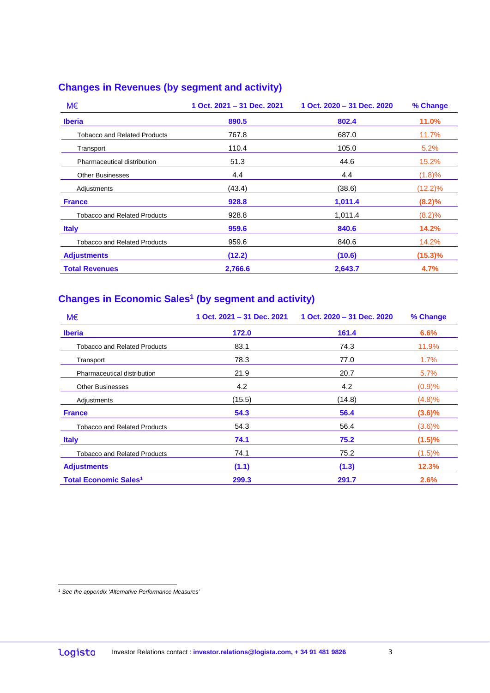#### **Changes in Revenues (by segment and activity)**

| M€                                  | 1 Oct. 2021 - 31 Dec. 2021 | 1 Oct. 2020 - 31 Dec. 2020 | % Change     |
|-------------------------------------|----------------------------|----------------------------|--------------|
| <b>Iberia</b>                       | 890.5                      | 802.4                      | <b>11.0%</b> |
| <b>Tobacco and Related Products</b> | 767.8                      | 687.0                      | 11.7%        |
| Transport                           | 110.4                      | 105.0                      | 5.2%         |
| Pharmaceutical distribution         | 51.3                       | 44.6                       | 15.2%        |
| <b>Other Businesses</b>             | 4.4                        | 4.4                        | (1.8)%       |
| Adjustments                         | (43.4)                     | (38.6)                     | $(12.2)\%$   |
| <b>France</b>                       | 928.8                      | 1,011.4                    | (8.2)%       |
| <b>Tobacco and Related Products</b> | 928.8                      | 1,011.4                    | (8.2)%       |
| <b>Italy</b>                        | 959.6                      | 840.6                      | 14.2%        |
| Tobacco and Related Products        | 959.6                      | 840.6                      | 14.2%        |
| <b>Adjustments</b>                  | (12.2)                     | (10.6)                     | $(15.3)\%$   |
| <b>Total Revenues</b>               | 2,766.6                    | 2,643.7                    | 4.7%         |

#### **Changes in Economic Sales<sup>1</sup> (by segment and activity)**

| M€                                      | 1 Oct. 2021 - 31 Dec. 2021 | 1 Oct. 2020 - 31 Dec. 2020 | % Change  |
|-----------------------------------------|----------------------------|----------------------------|-----------|
| <b>Iberia</b>                           | 172.0                      | 161.4                      | 6.6%      |
| <b>Tobacco and Related Products</b>     | 83.1                       | 74.3                       | 11.9%     |
| Transport                               | 78.3                       | 77.0                       | 1.7%      |
| Pharmaceutical distribution             | 21.9                       | 20.7                       | 5.7%      |
| <b>Other Businesses</b>                 | 4.2                        | 4.2                        | (0.9)%    |
| Adjustments                             | (15.5)                     | (14.8)                     | (4.8)%    |
| <b>France</b>                           | 54.3                       | 56.4                       | $(3.6)\%$ |
| <b>Tobacco and Related Products</b>     | 54.3                       | 56.4                       | $(3.6)\%$ |
| <b>Italy</b>                            | 74.1                       | 75.2                       | $(1.5)\%$ |
| <b>Tobacco and Related Products</b>     | 74.1                       | 75.2                       | (1.5)%    |
| <b>Adjustments</b>                      | (1.1)                      | (1.3)                      | 12.3%     |
| <b>Total Economic Sales<sup>1</sup></b> | 299.3                      | 291.7                      | 2.6%      |

<sup>1</sup> *<sup>1</sup> See the appendix 'Alternative Performance Measures'*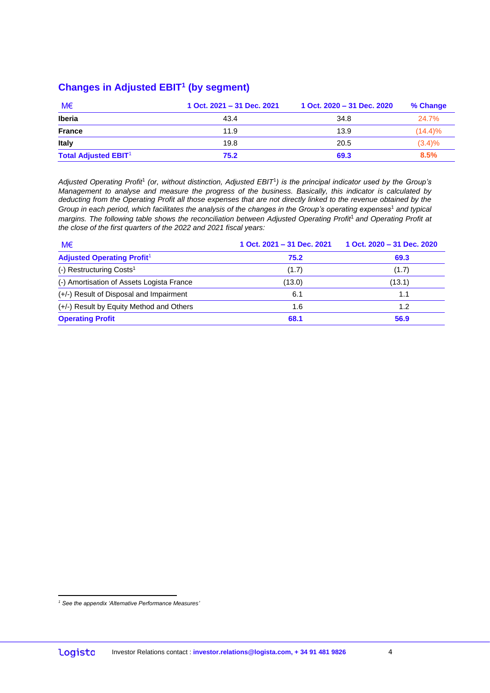#### **Changes in Adjusted EBIT<sup>1</sup> (by segment)**

| M€                          | 1 Oct. 2021 - 31 Dec. 2021 | 1 Oct. 2020 - 31 Dec. 2020 | % Change   |
|-----------------------------|----------------------------|----------------------------|------------|
| <b>Iberia</b>               | 43.4                       | 34.8                       | 24.7%      |
| <b>France</b>               | 11.9                       | 13.9                       | $(14.4)\%$ |
| Italy                       | 19.8                       | 20.5                       | $(3.4)\%$  |
| <b>Total Adjusted EBIT1</b> | 75.2                       | 69.3                       | 8.5%       |

*Adjusted Operating Profit*<sup>1</sup> *(or, without distinction, Adjusted EBIT*<sup>1</sup> *) is the principal indicator used by the Group's Management to analyse and measure the progress of the business. Basically, this indicator is calculated by deducting from the Operating Profit all those expenses that are not directly linked to the revenue obtained by the Group in each period, which facilitates the analysis of the changes in the Group's operating expenses*<sup>1</sup> *and typical margins. The following table shows the reconciliation between Adjusted Operating Profit*1 *and Operating Profit at the close of the first quarters of the 2022 and 2021 fiscal years:*

| M€                                        | 1 Oct. 2021 - 31 Dec. 2021 | 1 Oct. 2020 - 31 Dec. 2020 |
|-------------------------------------------|----------------------------|----------------------------|
| <b>Adjusted Operating Profit1</b>         | 75.2                       | 69.3                       |
| (-) Restructuring Costs <sup>1</sup>      | (1.7)                      | (1.7)                      |
| (-) Amortisation of Assets Logista France | (13.0)                     | (13.1)                     |
| (+/-) Result of Disposal and Impairment   | 6.1                        | 1.1                        |
| (+/-) Result by Equity Method and Others  | 1.6                        | 1.2                        |
| <b>Operating Profit</b>                   | 68.1                       | 56.9                       |

<sup>1</sup> *<sup>1</sup> See the appendix 'Alternative Performance Measures'*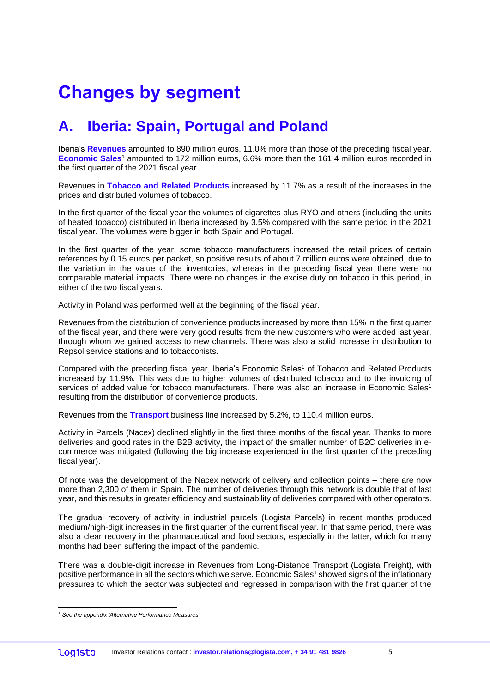# **Changes by segment**

### **A. Iberia: Spain, Portugal and Poland**

Iberia's **Revenues** amounted to 890 million euros, 11.0% more than those of the preceding fiscal year. **Economic Sales**<sup>1</sup> amounted to 172 million euros, 6.6% more than the 161.4 million euros recorded in the first quarter of the 2021 fiscal year.

Revenues in **Tobacco and Related Products** increased by 11.7% as a result of the increases in the prices and distributed volumes of tobacco.

In the first quarter of the fiscal year the volumes of cigarettes plus RYO and others (including the units of heated tobacco) distributed in Iberia increased by 3.5% compared with the same period in the 2021 fiscal year. The volumes were bigger in both Spain and Portugal.

In the first quarter of the year, some tobacco manufacturers increased the retail prices of certain references by 0.15 euros per packet, so positive results of about 7 million euros were obtained, due to the variation in the value of the inventories, whereas in the preceding fiscal year there were no comparable material impacts. There were no changes in the excise duty on tobacco in this period, in either of the two fiscal years.

Activity in Poland was performed well at the beginning of the fiscal year.

Revenues from the distribution of convenience products increased by more than 15% in the first quarter of the fiscal year, and there were very good results from the new customers who were added last year, through whom we gained access to new channels. There was also a solid increase in distribution to Repsol service stations and to tobacconists.

Compared with the preceding fiscal year, Iberia's Economic Sales<sup>1</sup> of Tobacco and Related Products increased by 11.9%. This was due to higher volumes of distributed tobacco and to the invoicing of services of added value for tobacco manufacturers. There was also an increase in Economic Sales<sup>1</sup> resulting from the distribution of convenience products.

Revenues from the **Transport** business line increased by 5.2%, to 110.4 million euros.

Activity in Parcels (Nacex) declined slightly in the first three months of the fiscal year. Thanks to more deliveries and good rates in the B2B activity, the impact of the smaller number of B2C deliveries in ecommerce was mitigated (following the big increase experienced in the first quarter of the preceding fiscal year).

Of note was the development of the Nacex network of delivery and collection points – there are now more than 2,300 of them in Spain. The number of deliveries through this network is double that of last year, and this results in greater efficiency and sustainability of deliveries compared with other operators.

The gradual recovery of activity in industrial parcels (Logista Parcels) in recent months produced medium/high-digit increases in the first quarter of the current fiscal year. In that same period, there was also a clear recovery in the pharmaceutical and food sectors, especially in the latter, which for many months had been suffering the impact of the pandemic.

There was a double-digit increase in Revenues from Long-Distance Transport (Logista Freight), with positive performance in all the sectors which we serve. Economic Sales<sup>1</sup> showed signs of the inflationary pressures to which the sector was subjected and regressed in comparison with the first quarter of the

<u>.</u>

*<sup>1</sup> See the appendix 'Alternative Performance Measures'*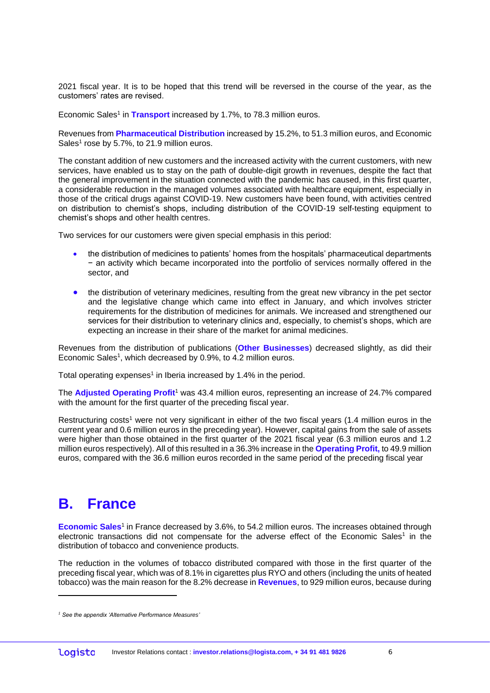2021 fiscal year. It is to be hoped that this trend will be reversed in the course of the year, as the customers' rates are revised.

Economic Sales<sup>1</sup> in Transport increased by 1.7%, to 78.3 million euros.

Revenues from **Pharmaceutical Distribution** increased by 15.2%, to 51.3 million euros, and Economic Sales<sup>1</sup> rose by 5.7%, to 21.9 million euros.

The constant addition of new customers and the increased activity with the current customers, with new services, have enabled us to stay on the path of double-digit growth in revenues, despite the fact that the general improvement in the situation connected with the pandemic has caused, in this first quarter, a considerable reduction in the managed volumes associated with healthcare equipment, especially in those of the critical drugs against COVID-19. New customers have been found, with activities centred on distribution to chemist's shops, including distribution of the COVID-19 self-testing equipment to chemist's shops and other health centres.

Two services for our customers were given special emphasis in this period:

- the distribution of medicines to patients' homes from the hospitals' pharmaceutical departments − an activity which became incorporated into the portfolio of services normally offered in the sector, and
- the distribution of veterinary medicines, resulting from the great new vibrancy in the pet sector and the legislative change which came into effect in January, and which involves stricter requirements for the distribution of medicines for animals. We increased and strengthened our services for their distribution to veterinary clinics and, especially, to chemist's shops, which are expecting an increase in their share of the market for animal medicines.

Revenues from the distribution of publications (**Other Businesses**) decreased slightly, as did their Economic Sales<sup>1</sup>, which decreased by 0.9%, to 4.2 million euros.

Total operating expenses<sup>1</sup> in Iberia increased by 1.4% in the period.

The **Adjusted Operating Profit**<sup>1</sup> was 43.4 million euros, representing an increase of 24.7% compared with the amount for the first quarter of the preceding fiscal year.

Restructuring costs<sup>1</sup> were not very significant in either of the two fiscal years (1.4 million euros in the current year and 0.6 million euros in the preceding year). However, capital gains from the sale of assets were higher than those obtained in the first quarter of the 2021 fiscal year (6.3 million euros and 1.2 million euros respectively). All of this resulted in a 36.3% increase in the **Operating Profit,** to 49.9 million euros, compared with the 36.6 million euros recorded in the same period of the preceding fiscal year

#### **B. France**

1

Economic Sales<sup>1</sup> in France decreased by 3.6%, to 54.2 million euros. The increases obtained through electronic transactions did not compensate for the adverse effect of the Economic Sales<sup>1</sup> in the distribution of tobacco and convenience products.

The reduction in the volumes of tobacco distributed compared with those in the first quarter of the preceding fiscal year, which was of 8.1% in cigarettes plus RYO and others (including the units of heated tobacco) was the main reason for the 8.2% decrease in **Revenues**, to 929 million euros, because during

*<sup>1</sup> See the appendix 'Alternative Performance Measures'*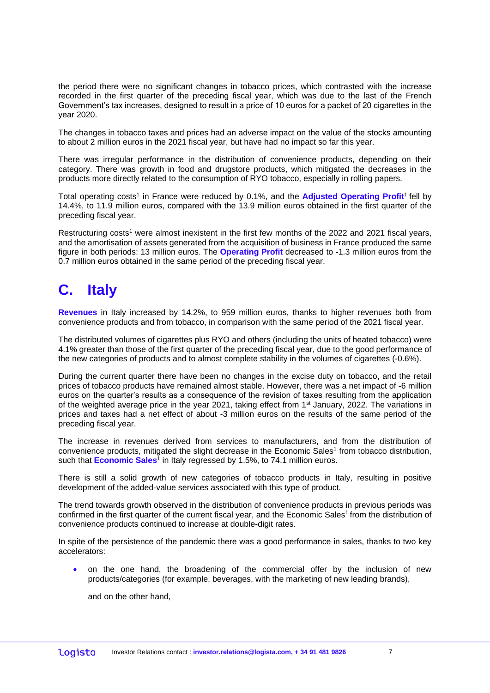the period there were no significant changes in tobacco prices, which contrasted with the increase recorded in the first quarter of the preceding fiscal year, which was due to the last of the French Government's tax increases, designed to result in a price of 10 euros for a packet of 20 cigarettes in the year 2020.

The changes in tobacco taxes and prices had an adverse impact on the value of the stocks amounting to about 2 million euros in the 2021 fiscal year, but have had no impact so far this year.

There was irregular performance in the distribution of convenience products, depending on their category. There was growth in food and drugstore products, which mitigated the decreases in the products more directly related to the consumption of RYO tobacco, especially in rolling papers.

Total operating costs<sup>1</sup> in France were reduced by 0.1%, and the **Adjusted Operating Profit<sup>1</sup>** fell by 14.4%, to 11.9 million euros, compared with the 13.9 million euros obtained in the first quarter of the preceding fiscal year.

Restructuring costs<sup>1</sup> were almost inexistent in the first few months of the 2022 and 2021 fiscal years, and the amortisation of assets generated from the acquisition of business in France produced the same figure in both periods: 13 million euros. The **Operating Profit** decreased to -1.3 million euros from the 0.7 million euros obtained in the same period of the preceding fiscal year.

### **C. Italy**

**Revenues** in Italy increased by 14.2%, to 959 million euros, thanks to higher revenues both from convenience products and from tobacco, in comparison with the same period of the 2021 fiscal year.

The distributed volumes of cigarettes plus RYO and others (including the units of heated tobacco) were 4.1% greater than those of the first quarter of the preceding fiscal year, due to the good performance of the new categories of products and to almost complete stability in the volumes of cigarettes (-0.6%).

During the current quarter there have been no changes in the excise duty on tobacco, and the retail prices of tobacco products have remained almost stable. However, there was a net impact of -6 million euros on the quarter's results as a consequence of the revision of taxes resulting from the application of the weighted average price in the year 2021, taking effect from 1<sup>st</sup> January, 2022. The variations in prices and taxes had a net effect of about -3 million euros on the results of the same period of the preceding fiscal year.

The increase in revenues derived from services to manufacturers, and from the distribution of convenience products, mitigated the slight decrease in the Economic Sales<sup>1</sup> from tobacco distribution, such that **Economic Sales**<sup>1</sup> in Italy regressed by 1.5%, to 74.1 million euros.

There is still a solid growth of new categories of tobacco products in Italy, resulting in positive development of the added-value services associated with this type of product.

The trend towards growth observed in the distribution of convenience products in previous periods was confirmed in the first quarter of the current fiscal year, and the Economic Sales<sup>1</sup> from the distribution of convenience products continued to increase at double-digit rates.

In spite of the persistence of the pandemic there was a good performance in sales, thanks to two key accelerators:

 on the one hand, the broadening of the commercial offer by the inclusion of new products/categories (for example, beverages, with the marketing of new leading brands),

and on the other hand,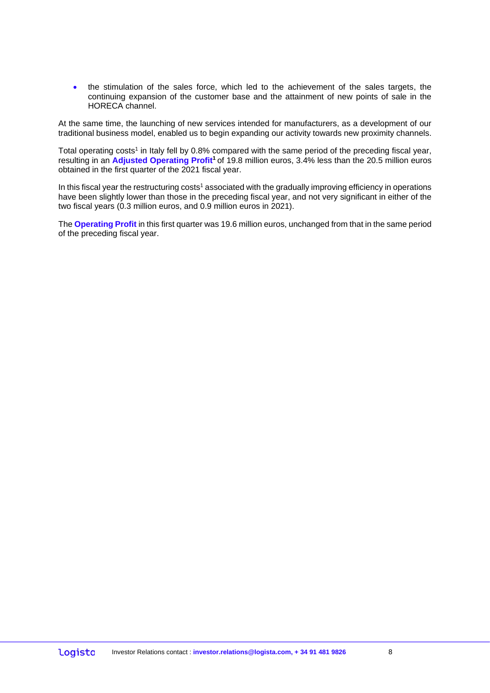the stimulation of the sales force, which led to the achievement of the sales targets, the continuing expansion of the customer base and the attainment of new points of sale in the HORECA channel.

At the same time, the launching of new services intended for manufacturers, as a development of our traditional business model, enabled us to begin expanding our activity towards new proximity channels.

Total operating costs<sup>1</sup> in Italy fell by 0.8% compared with the same period of the preceding fiscal year, resulting in an **Adjusted Operating Profit<sup>1</sup>**of 19.8 million euros, 3.4% less than the 20.5 million euros obtained in the first quarter of the 2021 fiscal year.

In this fiscal year the restructuring costs<sup>1</sup> associated with the gradually improving efficiency in operations have been slightly lower than those in the preceding fiscal year, and not very significant in either of the two fiscal years (0.3 million euros, and 0.9 million euros in 2021).

The **Operating Profit** in this first quarter was 19.6 million euros, unchanged from that in the same period of the preceding fiscal year.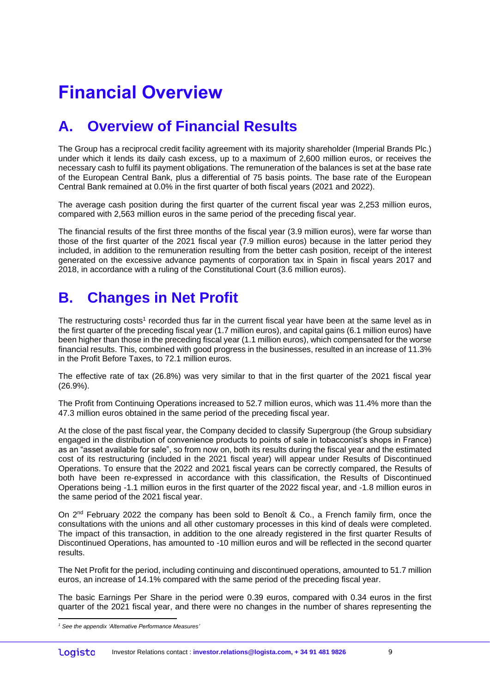# **Financial Overview**

### **A. Overview of Financial Results**

The Group has a reciprocal credit facility agreement with its majority shareholder (Imperial Brands Plc.) under which it lends its daily cash excess, up to a maximum of 2,600 million euros, or receives the necessary cash to fulfil its payment obligations. The remuneration of the balances is set at the base rate of the European Central Bank, plus a differential of 75 basis points. The base rate of the European Central Bank remained at 0.0% in the first quarter of both fiscal years (2021 and 2022).

The average cash position during the first quarter of the current fiscal year was 2,253 million euros, compared with 2,563 million euros in the same period of the preceding fiscal year.

The financial results of the first three months of the fiscal year (3.9 million euros), were far worse than those of the first quarter of the 2021 fiscal year (7.9 million euros) because in the latter period they included, in addition to the remuneration resulting from the better cash position, receipt of the interest generated on the excessive advance payments of corporation tax in Spain in fiscal years 2017 and 2018, in accordance with a ruling of the Constitutional Court (3.6 million euros).

#### **B. Changes in Net Profit**

The restructuring costs<sup>1</sup> recorded thus far in the current fiscal year have been at the same level as in the first quarter of the preceding fiscal year (1.7 million euros), and capital gains (6.1 million euros) have been higher than those in the preceding fiscal year (1.1 million euros), which compensated for the worse financial results. This, combined with good progress in the businesses, resulted in an increase of 11.3% in the Profit Before Taxes, to 72.1 million euros.

The effective rate of tax (26.8%) was very similar to that in the first quarter of the 2021 fiscal year (26.9%).

The Profit from Continuing Operations increased to 52.7 million euros, which was 11.4% more than the 47.3 million euros obtained in the same period of the preceding fiscal year.

At the close of the past fiscal year, the Company decided to classify Supergroup (the Group subsidiary engaged in the distribution of convenience products to points of sale in tobacconist's shops in France) as an "asset available for sale", so from now on, both its results during the fiscal year and the estimated cost of its restructuring (included in the 2021 fiscal year) will appear under Results of Discontinued Operations. To ensure that the 2022 and 2021 fiscal years can be correctly compared, the Results of both have been re-expressed in accordance with this classification, the Results of Discontinued Operations being -1.1 million euros in the first quarter of the 2022 fiscal year, and -1.8 million euros in the same period of the 2021 fiscal year.

On 2<sup>nd</sup> February 2022 the company has been sold to Benoît & Co., a French family firm, once the consultations with the unions and all other customary processes in this kind of deals were completed. The impact of this transaction, in addition to the one already registered in the first quarter Results of Discontinued Operations, has amounted to -10 million euros and will be reflected in the second quarter results.

The Net Profit for the period, including continuing and discontinued operations, amounted to 51.7 million euros, an increase of 14.1% compared with the same period of the preceding fiscal year.

The basic Earnings Per Share in the period were 0.39 euros, compared with 0.34 euros in the first quarter of the 2021 fiscal year, and there were no changes in the number of shares representing the

<sup>1</sup> *<sup>1</sup> See the appendix 'Alternative Performance Measures'*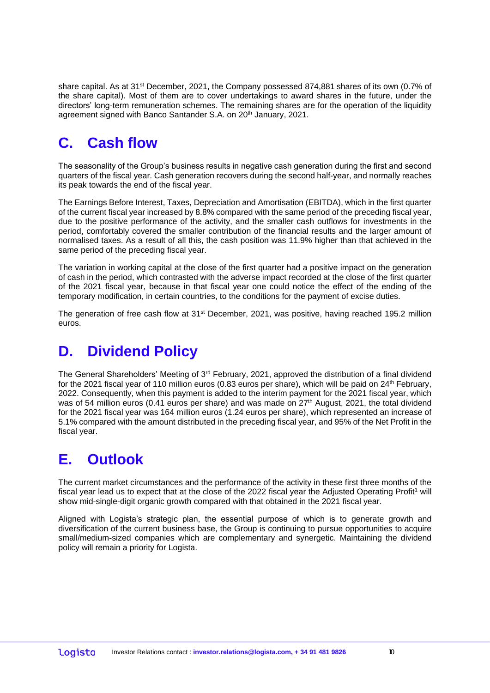share capital. As at 31<sup>st</sup> December, 2021, the Company possessed 874,881 shares of its own (0.7% of the share capital). Most of them are to cover undertakings to award shares in the future, under the directors' long-term remuneration schemes. The remaining shares are for the operation of the liquidity agreement signed with Banco Santander S.A. on 20<sup>th</sup> January, 2021.

## **C. Cash flow**

The seasonality of the Group's business results in negative cash generation during the first and second quarters of the fiscal year. Cash generation recovers during the second half-year, and normally reaches its peak towards the end of the fiscal year.

The Earnings Before Interest, Taxes, Depreciation and Amortisation (EBITDA), which in the first quarter of the current fiscal year increased by 8.8% compared with the same period of the preceding fiscal year, due to the positive performance of the activity, and the smaller cash outflows for investments in the period, comfortably covered the smaller contribution of the financial results and the larger amount of normalised taxes. As a result of all this, the cash position was 11.9% higher than that achieved in the same period of the preceding fiscal year.

The variation in working capital at the close of the first quarter had a positive impact on the generation of cash in the period, which contrasted with the adverse impact recorded at the close of the first quarter of the 2021 fiscal year, because in that fiscal year one could notice the effect of the ending of the temporary modification, in certain countries, to the conditions for the payment of excise duties.

The generation of free cash flow at 31<sup>st</sup> December, 2021, was positive, having reached 195.2 million euros.

### **D. Dividend Policy**

The General Shareholders' Meeting of  $3<sup>rd</sup>$  February, 2021, approved the distribution of a final dividend for the 2021 fiscal year of 110 million euros (0.83 euros per share), which will be paid on 24<sup>th</sup> February, 2022. Consequently, when this payment is added to the interim payment for the 2021 fiscal year, which was of 54 million euros (0.41 euros per share) and was made on 27<sup>th</sup> August, 2021, the total dividend for the 2021 fiscal year was 164 million euros (1.24 euros per share), which represented an increase of 5.1% compared with the amount distributed in the preceding fiscal year, and 95% of the Net Profit in the fiscal year.

### **E. Outlook**

The current market circumstances and the performance of the activity in these first three months of the fiscal year lead us to expect that at the close of the 2022 fiscal year the Adjusted Operating Profit<sup>1</sup> will show mid-single-digit organic growth compared with that obtained in the 2021 fiscal year.

Aligned with Logista's strategic plan, the essential purpose of which is to generate growth and diversification of the current business base, the Group is continuing to pursue opportunities to acquire small/medium-sized companies which are complementary and synergetic. Maintaining the dividend policy will remain a priority for Logista.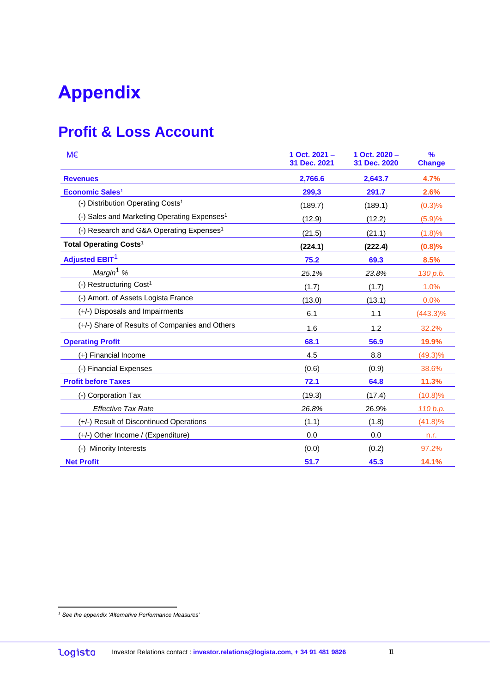# **Appendix**

## **Profit & Loss Account**

| M€                                                      | 1 Oct. 2021 -<br>31 Dec. 2021 | 1 Oct. 2020 -<br>31 Dec. 2020 | $\frac{9}{6}$<br><b>Change</b> |
|---------------------------------------------------------|-------------------------------|-------------------------------|--------------------------------|
| <b>Revenues</b>                                         | 2,766.6                       | 2,643.7                       | 4.7%                           |
| Economic Sales $1$                                      | 299,3                         | 291.7                         | 2.6%                           |
| (-) Distribution Operating Costs <sup>1</sup>           | (189.7)                       | (189.1)                       | (0.3)%                         |
| (-) Sales and Marketing Operating Expenses <sup>1</sup> | (12.9)                        | (12.2)                        | (5.9)%                         |
| (-) Research and G&A Operating Expenses <sup>1</sup>    | (21.5)                        | (21.1)                        | (1.8)%                         |
| Total Operating Costs <sup>1</sup>                      | (224.1)                       | (222.4)                       | (0.8)%                         |
| <b>Adjusted EBIT<sup>1</sup></b>                        | 75.2                          | 69.3                          | 8.5%                           |
| Margin <sup>1</sup> %                                   | 25.1%                         | 23.8%                         | 130 p.b.                       |
| (-) Restructuring Cost <sup>1</sup>                     | (1.7)                         | (1.7)                         | 1.0%                           |
| (-) Amort. of Assets Logista France                     | (13.0)                        | (13.1)                        | 0.0%                           |
| (+/-) Disposals and Impairments                         | 6.1                           | 1.1                           | $(443.3)\%$                    |
| (+/-) Share of Results of Companies and Others          | 1.6                           | 1.2                           | 32.2%                          |
| <b>Operating Profit</b>                                 | 68.1                          | 56.9                          | 19.9%                          |
| (+) Financial Income                                    | 4.5                           | 8.8                           | $(49.3)\%$                     |
| (-) Financial Expenses                                  | (0.6)                         | (0.9)                         | 38.6%                          |
| <b>Profit before Taxes</b>                              | 72.1                          | 64.8                          | 11.3%                          |
| (-) Corporation Tax                                     | (19.3)                        | (17.4)                        | (10.8)%                        |
| <b>Effective Tax Rate</b>                               | 26.8%                         | 26.9%                         | 110 b.p.                       |
| (+/-) Result of Discontinued Operations                 | (1.1)                         | (1.8)                         | (41.8)%                        |
| (+/-) Other Income / (Expenditure)                      | 0.0                           | 0.0                           | n.r.                           |
| <b>Minority Interests</b><br>$(-)$                      | (0.0)                         | (0.2)                         | 97.2%                          |
| <b>Net Profit</b>                                       | 51.7                          | 45.3                          | 14.1%                          |

<u>.</u>

*<sup>1</sup> See the appendix 'Alternative Performance Measures'*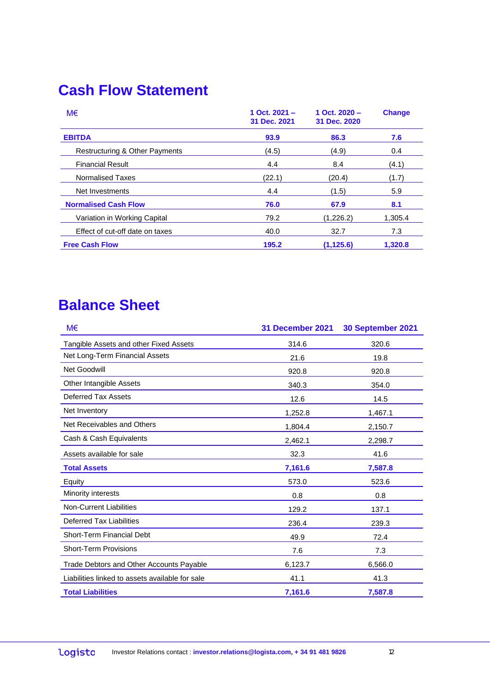## **Cash Flow Statement**

| M€                              | 1 Oct. $2021 -$<br>31 Dec. 2021 | 1 Oct. $2020 -$<br>31 Dec. 2020 | <b>Change</b> |
|---------------------------------|---------------------------------|---------------------------------|---------------|
| <b>EBITDA</b>                   | 93.9                            | 86.3                            | 7.6           |
| Restructuring & Other Payments  | (4.5)                           | (4.9)                           | 0.4           |
| <b>Financial Result</b>         | 4.4                             | 8.4                             | (4.1)         |
| Normalised Taxes                | (22.1)                          | (20.4)                          | (1.7)         |
| Net Investments                 | 4.4                             | (1.5)                           | 5.9           |
| <b>Normalised Cash Flow</b>     | 76.0                            | 67.9                            | 8.1           |
| Variation in Working Capital    | 79.2                            | (1,226.2)                       | 1,305.4       |
| Effect of cut-off date on taxes | 40.0                            | 32.7                            | 7.3           |
| <b>Free Cash Flow</b>           | 195.2                           | (1, 125.6)                      | 1,320.8       |

## **Balance Sheet**

| M€                                              | 31 December 2021 | 30 September 2021 |
|-------------------------------------------------|------------------|-------------------|
| Tangible Assets and other Fixed Assets          | 314.6            | 320.6             |
| Net Long-Term Financial Assets                  | 21.6             | 19.8              |
| Net Goodwill                                    | 920.8            | 920.8             |
| Other Intangible Assets                         | 340.3            | 354.0             |
| Deferred Tax Assets                             | 12.6             | 14.5              |
| Net Inventory                                   | 1,252.8          | 1,467.1           |
| Net Receivables and Others                      | 1,804.4          | 2,150.7           |
| Cash & Cash Equivalents                         | 2,462.1          | 2,298.7           |
| Assets available for sale                       | 32.3             | 41.6              |
| <b>Total Assets</b>                             | 7,161.6          | 7,587.8           |
| <b>Equity</b>                                   | 573.0            | 523.6             |
| Minority interests                              | 0.8              | 0.8               |
| <b>Non-Current Liabilities</b>                  | 129.2            | 137.1             |
| <b>Deferred Tax Liabilities</b>                 | 236.4            | 239.3             |
| Short-Term Financial Debt                       | 49.9             | 72.4              |
| <b>Short-Term Provisions</b>                    | 7.6              | 7.3               |
| Trade Debtors and Other Accounts Payable        | 6,123.7          | 6,566.0           |
| Liabilities linked to assets available for sale | 41.1             | 41.3              |
| <b>Total Liabilities</b>                        | 7,161.6          | 7,587.8           |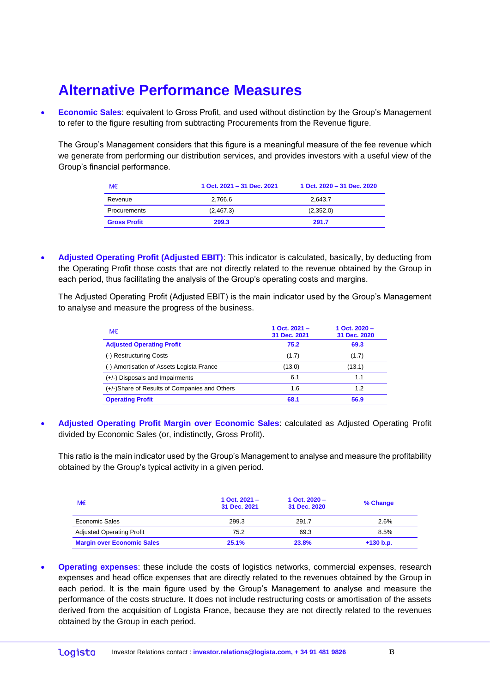### **Alternative Performance Measures**

 **Economic Sales**: equivalent to Gross Profit, and used without distinction by the Group's Management to refer to the figure resulting from subtracting Procurements from the Revenue figure.

The Group's Management considers that this figure is a meaningful measure of the fee revenue which we generate from performing our distribution services, and provides investors with a useful view of the Group's financial performance.

| M€                  | 1 Oct. 2021 - 31 Dec. 2021 | 1 Oct. 2020 - 31 Dec. 2020 |
|---------------------|----------------------------|----------------------------|
| Revenue             | 2.766.6                    | 2.643.7                    |
| Procurements        | (2,467.3)                  | (2,352.0)                  |
| <b>Gross Profit</b> | 299.3                      | 291.7                      |

 **Adjusted Operating Profit (Adjusted EBIT)**: This indicator is calculated, basically, by deducting from the Operating Profit those costs that are not directly related to the revenue obtained by the Group in each period, thus facilitating the analysis of the Group's operating costs and margins.

The Adjusted Operating Profit (Adjusted EBIT) is the main indicator used by the Group's Management to analyse and measure the progress of the business.

| M€                                            | 1 Oct. $2021 -$<br>31 Dec. 2021 | 1 Oct. $2020 -$<br>31 Dec. 2020 |
|-----------------------------------------------|---------------------------------|---------------------------------|
| <b>Adjusted Operating Profit</b>              | 75.2                            | 69.3                            |
| (-) Restructuring Costs                       | (1.7)                           | (1.7)                           |
| (-) Amortisation of Assets Logista France     | (13.0)                          | (13.1)                          |
| (+/-) Disposals and Impairments               | 6.1                             | 1.1                             |
| (+/-)Share of Results of Companies and Others | 1.6                             | 1.2                             |
| <b>Operating Profit</b>                       | 68.1                            | 56.9                            |

 **Adjusted Operating Profit Margin over Economic Sales**: calculated as Adjusted Operating Profit divided by Economic Sales (or, indistinctly, Gross Profit).

This ratio is the main indicator used by the Group's Management to analyse and measure the profitability obtained by the Group's typical activity in a given period.

| M€                                | 1 Oct. $2021 -$<br>31 Dec. 2021 | 1 Oct. $2020 -$<br>31 Dec. 2020 | % Change    |
|-----------------------------------|---------------------------------|---------------------------------|-------------|
| Economic Sales                    | 299.3                           | 291.7                           | 2.6%        |
| <b>Adjusted Operating Profit</b>  | 75.2                            | 69.3                            | 8.5%        |
| <b>Margin over Economic Sales</b> | 25.1%                           | 23.8%                           | $+130 b.p.$ |

 **Operating expenses**: these include the costs of logistics networks, commercial expenses, research expenses and head office expenses that are directly related to the revenues obtained by the Group in each period. It is the main figure used by the Group's Management to analyse and measure the performance of the costs structure. It does not include restructuring costs or amortisation of the assets derived from the acquisition of Logista France, because they are not directly related to the revenues obtained by the Group in each period.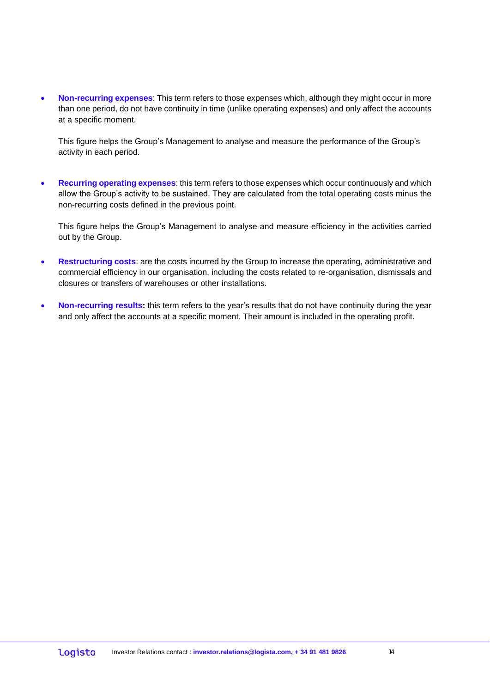**Non-recurring expenses**: This term refers to those expenses which, although they might occur in more than one period, do not have continuity in time (unlike operating expenses) and only affect the accounts at a specific moment.

This figure helps the Group's Management to analyse and measure the performance of the Group's activity in each period.

 **Recurring operating expenses**: this term refers to those expenses which occur continuously and which allow the Group's activity to be sustained. They are calculated from the total operating costs minus the non-recurring costs defined in the previous point.

This figure helps the Group's Management to analyse and measure efficiency in the activities carried out by the Group.

- **Restructuring costs**: are the costs incurred by the Group to increase the operating, administrative and commercial efficiency in our organisation, including the costs related to re-organisation, dismissals and closures or transfers of warehouses or other installations.
- **Non-recurring results:** this term refers to the year's results that do not have continuity during the year and only affect the accounts at a specific moment. Their amount is included in the operating profit.